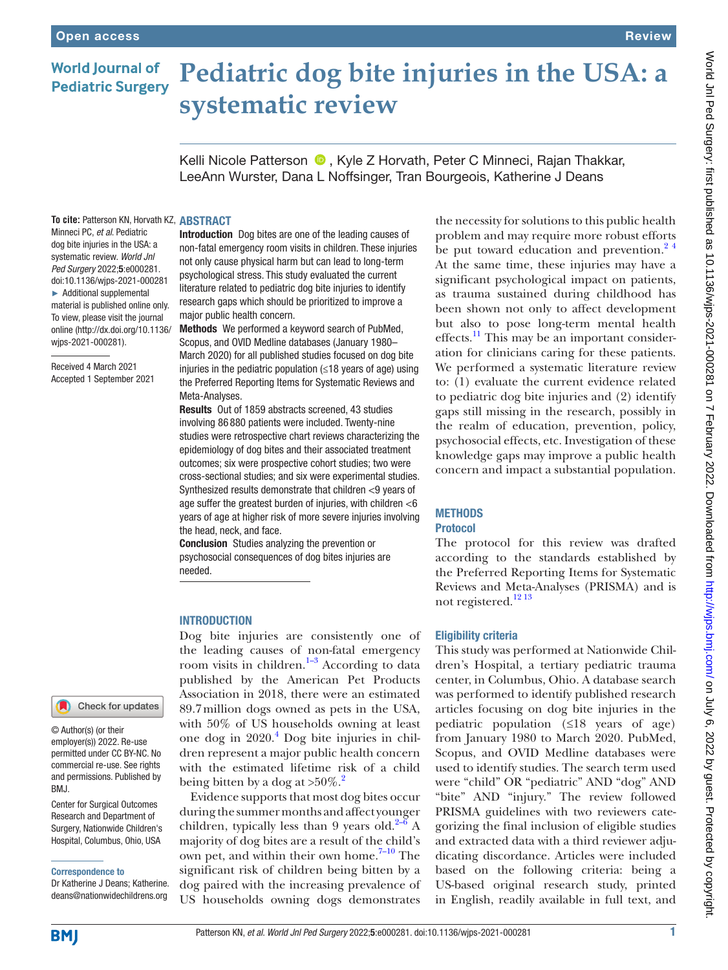# **World Journal of Pediatric Surgery**

# **Pediatric dog bite injuries in the USA: a systematic review**

KelliNicole Patterson <sup>1</sup>. Kyle Z Horvath, Peter C Minneci, Rajan Thakkar, LeeAnn Wurster, Dana L Noffsinger, Tran Bourgeois, Katherine J Deans

**To cite:** Patterson KN, Horvath KZ, ABSTRACT Minneci PC, *et al*. Pediatric dog bite injuries in the USA: a systematic review. *World Jnl Ped Surgery* 2022;5:e000281. doi:10.1136/wjps-2021-000281 ► Additional supplemental material is published online only. To view, please visit the journal online ([http://dx.doi.org/10.1136/](http://dx.doi.org/10.1136/wjps-2021-000281) [wjps-2021-000281\)](http://dx.doi.org/10.1136/wjps-2021-000281).

Received 4 March 2021 Accepted 1 September 2021 Introduction Dog bites are one of the leading causes of non-fatal emergency room visits in children. These injuries not only cause physical harm but can lead to long-term psychological stress. This study evaluated the current literature related to pediatric dog bite injuries to identify research gaps which should be prioritized to improve a major public health concern.

Methods We performed a keyword search of PubMed, Scopus, and OVID Medline databases (January 1980– March 2020) for all published studies focused on dog bite injuries in the pediatric population (≤18 years of age) using the Preferred Reporting Items for Systematic Reviews and Meta-Analyses.

Results Out of 1859 abstracts screened, 43 studies involving 86 880 patients were included. Twenty-nine studies were retrospective chart reviews characterizing the epidemiology of dog bites and their associated treatment outcomes; six were prospective cohort studies; two were cross-sectional studies; and six were experimental studies. Synthesized results demonstrate that children <9 years of age suffer the greatest burden of injuries, with children <6 years of age at higher risk of more severe injuries involving the head, neck, and face.

Conclusion Studies analyzing the prevention or psychosocial consequences of dog bites injuries are needed.

#### **INTRODUCTION**

Dog bite injuries are consistently one of the leading causes of non-fatal emergency room visits in children. $1-3$  According to data published by the American Pet Products Association in 2018, there were an estimated 89.7million dogs owned as pets in the USA, with 50% of US households owning at least one dog in 2020.<sup>[4](#page-6-1)</sup> Dog bite injuries in children represent a major public health concern with the estimated lifetime risk of a child being bitten by a dog at  $>50\%$ .<sup>[2](#page-6-2)</sup>

Evidence supports that most dog bites occur during the summer months and affect younger children, typically less than 9 years old. $2-6$  A majority of dog bites are a result of the child's own pet, and within their own home.<sup>7-10</sup> The significant risk of children being bitten by a dog paired with the increasing prevalence of US households owning dogs demonstrates

the necessity for solutions to this public health problem and may require more robust efforts be put toward education and prevention. $2<sup>4</sup>$ At the same time, these injuries may have a significant psychological impact on patients, as trauma sustained during childhood has been shown not only to affect development but also to pose long-term mental health effects. $\frac{11}{11}$  This may be an important consideration for clinicians caring for these patients. We performed a systematic literature review to: (1) evaluate the current evidence related to pediatric dog bite injuries and (2) identify gaps still missing in the research, possibly in the realm of education, prevention, policy, psychosocial effects, etc. Investigation of these knowledge gaps may improve a public health concern and impact a substantial population.

# **METHODS** Protocol

The protocol for this review was drafted according to the standards established by the Preferred Reporting Items for Systematic Reviews and Meta-Analyses (PRISMA) and is not registered.<sup>[12 13](#page-6-5)</sup>

## Eligibility criteria

This study was performed at Nationwide Children's Hospital, a tertiary pediatric trauma center, in Columbus, Ohio. A database search was performed to identify published research articles focusing on dog bite injuries in the pediatric population  $(\leq 18$  years of age) from January 1980 to March 2020. PubMed, Scopus, and OVID Medline databases were used to identify studies. The search term used were "child" OR "pediatric" AND "dog" AND "bite" AND "injury." The review followed PRISMA guidelines with two reviewers categorizing the final inclusion of eligible studies and extracted data with a third reviewer adjudicating discordance. Articles were included based on the following criteria: being a US-based original research study, printed in English, readily available in full text, and

# Check for updates

© Author(s) (or their employer(s)) 2022. Re-use permitted under CC BY-NC. No commercial re-use. See rights and permissions. Published by BMJ.

Center for Surgical Outcomes Research and Department of Surgery, Nationwide Children's Hospital, Columbus, Ohio, USA

#### Correspondence to

Dr Katherine J Deans; Katherine. deans@nationwidechildrens.org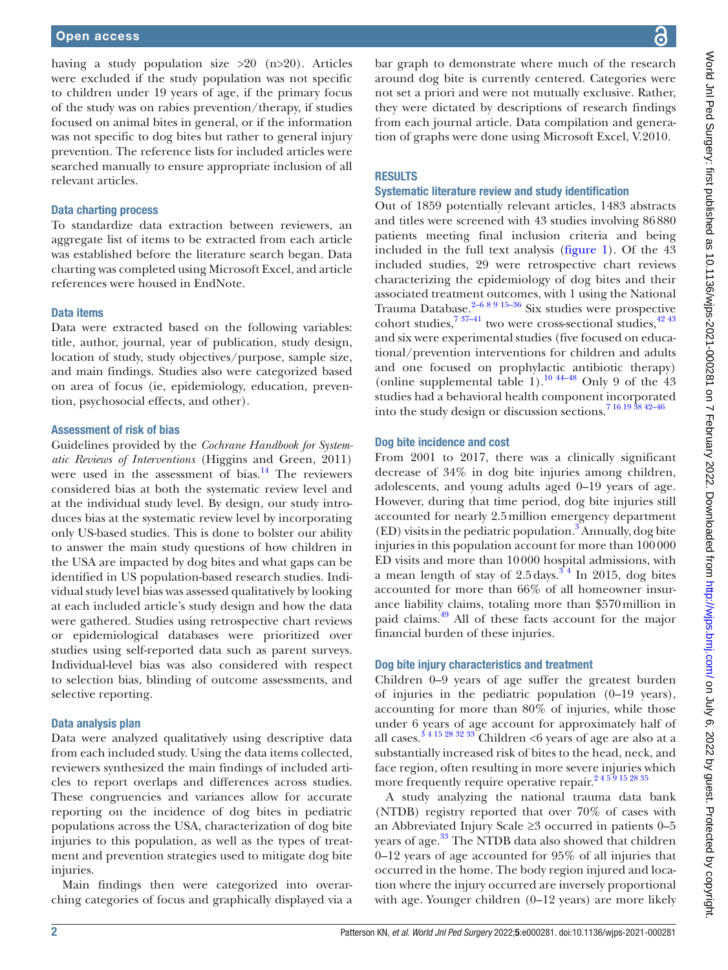having a study population size >20 (n>20). Articles were excluded if the study population was not specific to children under 19 years of age, if the primary focus of the study was on rabies prevention/therapy, if studies focused on animal bites in general, or if the information was not specific to dog bites but rather to general injury prevention. The reference lists for included articles were searched manually to ensure appropriate inclusion of all relevant articles.

# Data charting process

To standardize data extraction between reviewers, an aggregate list of items to be extracted from each article was established before the literature search began. Data charting was completed using Microsoft Excel, and article references were housed in EndNote.

# Data items

Data were extracted based on the following variables: title, author, journal, year of publication, study design, location of study, study objectives/purpose, sample size, and main findings. Studies also were categorized based on area of focus (ie, epidemiology, education, prevention, psychosocial effects, and other).

# Assessment of risk of bias

Guidelines provided by the *Cochrane Handbook for Systematic Reviews of Interventions* (Higgins and Green, 2011) were used in the assessment of bias. $14$  The reviewers considered bias at both the systematic review level and at the individual study level. By design, our study introduces bias at the systematic review level by incorporating only US-based studies. This is done to bolster our ability to answer the main study questions of how children in the USA are impacted by dog bites and what gaps can be identified in US population-based research studies. Individual study level bias was assessed qualitatively by looking at each included article's study design and how the data were gathered. Studies using retrospective chart reviews or epidemiological databases were prioritized over studies using self-reported data such as parent surveys. Individual-level bias was also considered with respect to selection bias, blinding of outcome assessments, and selective reporting.

# Data analysis plan

Data were analyzed qualitatively using descriptive data from each included study. Using the data items collected, reviewers synthesized the main findings of included articles to report overlaps and differences across studies. These congruencies and variances allow for accurate reporting on the incidence of dog bites in pediatric populations across the USA, characterization of dog bite injuries to this population, as well as the types of treatment and prevention strategies used to mitigate dog bite injuries.

Main findings then were categorized into overarching categories of focus and graphically displayed via a

bar graph to demonstrate where much of the research around dog bite is currently centered. Categories were not set a priori and were not mutually exclusive. Rather, they were dictated by descriptions of research findings from each journal article. Data compilation and generation of graphs were done using Microsoft Excel, V.2010.

# RESULTS

# Systematic literature review and study identification

Out of 1859 potentially relevant articles, 1483 abstracts and titles were screened with 43 studies involving 86880 patients meeting final inclusion criteria and being included in the full text analysis [\(figure](#page-2-0) 1). Of the 43 included studies, 29 were retrospective chart reviews characterizing the epidemiology of dog bites and their associated treatment outcomes, with 1 using the National Trauma Database.<sup>2–6 8 9 15–36</sup> Six studies were prospective cohort studies, $7 \frac{37-41}{2}$  two were cross-sectional studies,  $42 \frac{42}{3}$ and six were experimental studies (five focused on educational/prevention interventions for children and adults and one focused on prophylactic antibiotic therapy) [\(online supplemental table 1](https://dx.doi.org/10.1136/wjps-2021-000281)).<sup>10</sup>  $\frac{44-48}{10}$  Only 9 of the 43 studies had a behavioral health component incorporated into the study design or discussion sections[.7 16 19 38 42–46](#page-6-3)

# Dog bite incidence and cost

From 2001 to 2017, there was a clinically significant decrease of 34% in dog bite injuries among children, adolescents, and young adults aged 0–19 years of age. However, during that time period, dog bite injuries still accounted for nearly 2.5million emergency department  $(ED)$  visits in the pediatric population.<sup>[3](#page-6-8)</sup> Annually, dog bite injuries in this population account for more than 100000 ED visits and more than 10000 hospital admissions, with a mean length of stay of  $2.5 \text{ days.}^{3/4}$  In 2015, dog bites accounted for more than 66% of all homeowner insurance liability claims, totaling more than \$570million in paid claims.[49](#page-7-1) All of these facts account for the major financial burden of these injuries.

# Dog bite injury characteristics and treatment

Children 0–9 years of age suffer the greatest burden of injuries in the pediatric population (0–19 years), accounting for more than 80% of injuries, while those under 6 years of age account for approximately half of all cases.<sup>34 15 28 32 33</sup> Children <6 years of age are also at a substantially increased risk of bites to the head, neck, and face region, often resulting in more severe injuries which more frequently require operative repair.<sup>2459152835</sup>

A study analyzing the national trauma data bank (NTDB) registry reported that over 70% of cases with an Abbreviated Injury Scale ≥3 occurred in patients 0–5 years of age.<sup>33</sup> The NTDB data also showed that children 0–12 years of age accounted for 95% of all injuries that occurred in the home. The body region injured and location where the injury occurred are inversely proportional with age. Younger children (0–12 years) are more likely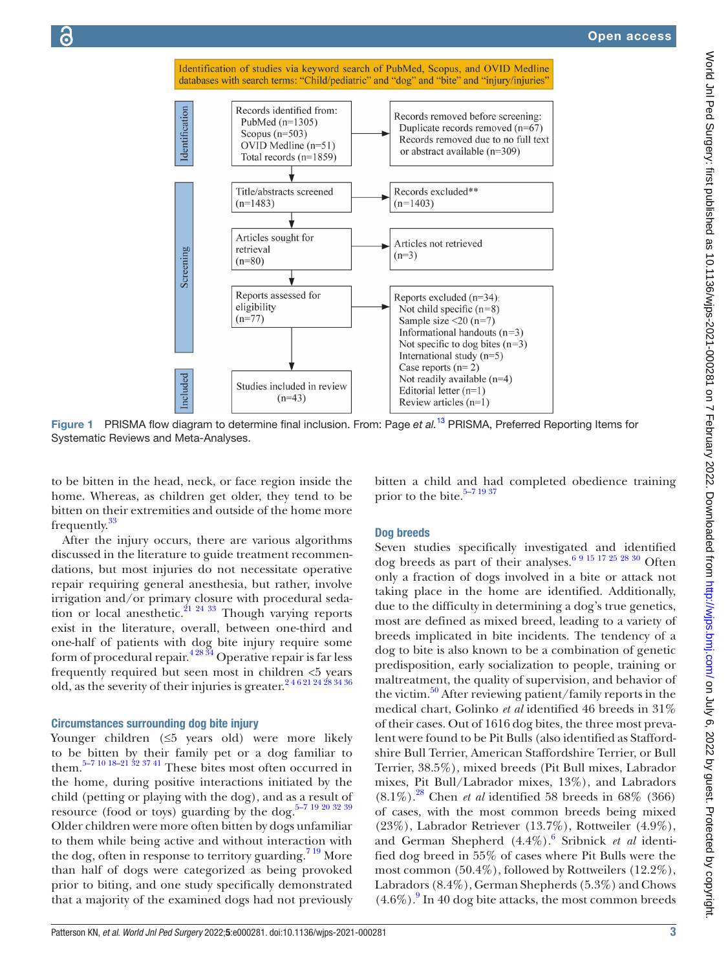

Figure 1 PRISMA flow diagram to determine final inclusion. From: Page et al.<sup>[13](#page-6-13)</sup> PRISMA, Preferred Reporting Items for Systematic Reviews and Meta-Analyses.

to be bitten in the head, neck, or face region inside the home. Whereas, as children get older, they tend to be bitten on their extremities and outside of the home more frequently.<sup>[33](#page-7-2)</sup>

After the injury occurs, there are various algorithms discussed in the literature to guide treatment recommendations, but most injuries do not necessitate operative repair requiring general anesthesia, but rather, involve irrigation and/or primary closure with procedural sedation or local anesthetic.<sup>21 24 33</sup> Though varying reports exist in the literature, overall, between one-third and one-half of patients with dog bite injury require some form of procedural repair.<sup>4 28  $\overline{34}$ </sup> Operative repair is far less frequently required but seen most in children <5 years old, as the severity of their injuries is greater.<sup>2462124283436</sup>

#### Circumstances surrounding dog bite injury

Younger children (≤5 years old) were more likely to be bitten by their family pet or a dog familiar to them.<sup>5–7 10 18–21 32 37 41</sup> These bites most often occurred in the home, during positive interactions initiated by the child (petting or playing with the dog), and as a result of resource (food or toys) guarding by the dog.<sup>5-7 19 20 32 39</sup> Older children were more often bitten by dogs unfamiliar to them while being active and without interaction with the dog, often in response to territory guarding.<sup>719</sup> More than half of dogs were categorized as being provoked prior to biting, and one study specifically demonstrated that a majority of the examined dogs had not previously

<span id="page-2-0"></span>bitten a child and had completed obedience training prior to the bite. $5-7$  19 37

# Dog breeds

Seven studies specifically investigated and identified dog breeds as part of their analyses.<sup>6 9 15 17 25 28 30</sup> Often only a fraction of dogs involved in a bite or attack not taking place in the home are identified. Additionally, due to the difficulty in determining a dog's true genetics, most are defined as mixed breed, leading to a variety of breeds implicated in bite incidents. The tendency of a dog to bite is also known to be a combination of genetic predisposition, early socialization to people, training or maltreatment, the quality of supervision, and behavior of the victim.<sup>[50](#page-7-3)</sup> After reviewing patient/family reports in the medical chart, Golinko *et al* identified 46 breeds in 31% of their cases. Out of 1616 dog bites, the three most prevalent were found to be Pit Bulls (also identified as Staffordshire Bull Terrier, American Staffordshire Terrier, or Bull Terrier, 38.5%), mixed breeds (Pit Bull mixes, Labrador mixes, Pit Bull/Labrador mixes, 13%), and Labradors (8.1%).[28](#page-7-4) Chen *et al* identified 58 breeds in 68% (366) of cases, with the most common breeds being mixed (23%), Labrador Retriever (13.7%), Rottweiler (4.9%), and German Shepherd (4.4%).<sup>6</sup> Sribnick *et al* identified dog breed in 55% of cases where Pit Bulls were the most common (50.4%), followed by Rottweilers (12.2%), Labradors (8.4%), German Shepherds (5.3%) and Chows  $(4.6\%)$ .<sup>9</sup> In 40 dog bite attacks, the most common breeds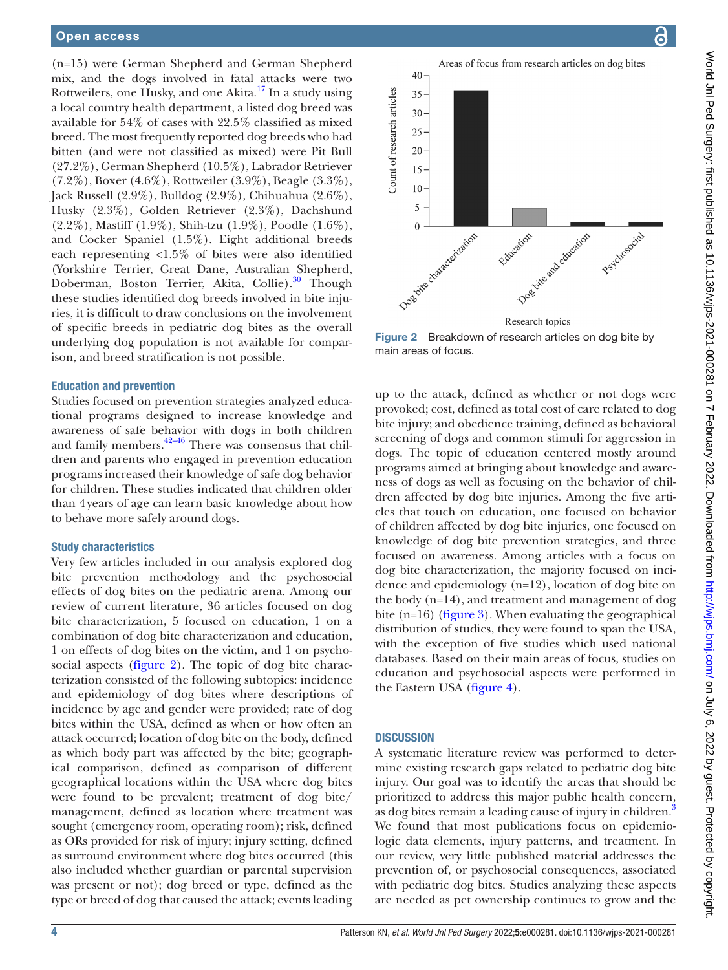(n=15) were German Shepherd and German Shepherd mix, and the dogs involved in fatal attacks were two Rottweilers, one Husky, and one Akita.[17](#page-6-14) In a study using a local country health department, a listed dog breed was available for 54% of cases with 22.5% classified as mixed breed. The most frequently reported dog breeds who had bitten (and were not classified as mixed) were Pit Bull (27.2%), German Shepherd (10.5%), Labrador Retriever (7.2%), Boxer (4.6%), Rottweiler (3.9%), Beagle (3.3%), Jack Russell (2.9%), Bulldog (2.9%), Chihuahua (2.6%), Husky (2.3%), Golden Retriever (2.3%), Dachshund (2.2%), Mastiff (1.9%), Shih-tzu (1.9%), Poodle (1.6%), and Cocker Spaniel (1.5%). Eight additional breeds each representing <1.5% of bites were also identified (Yorkshire Terrier, Great Dane, Australian Shepherd, Doberman, Boston Terrier, Akita, Collie).<sup>30</sup> Though these studies identified dog breeds involved in bite injuries, it is difficult to draw conclusions on the involvement of specific breeds in pediatric dog bites as the overall underlying dog population is not available for comparison, and breed stratification is not possible.

### Education and prevention

Studies focused on prevention strategies analyzed educational programs designed to increase knowledge and awareness of safe behavior with dogs in both children and family members. $42-46$  There was consensus that children and parents who engaged in prevention education programs increased their knowledge of safe dog behavior for children. These studies indicated that children older than 4years of age can learn basic knowledge about how to behave more safely around dogs.

#### Study characteristics

Very few articles included in our analysis explored dog bite prevention methodology and the psychosocial effects of dog bites on the pediatric arena. Among our review of current literature, 36 articles focused on dog bite characterization, 5 focused on education, 1 on a combination of dog bite characterization and education, 1 on effects of dog bites on the victim, and 1 on psychosocial aspects [\(figure](#page-3-0) 2). The topic of dog bite characterization consisted of the following subtopics: incidence and epidemiology of dog bites where descriptions of incidence by age and gender were provided; rate of dog bites within the USA, defined as when or how often an attack occurred; location of dog bite on the body, defined as which body part was affected by the bite; geographical comparison, defined as comparison of different geographical locations within the USA where dog bites were found to be prevalent; treatment of dog bite/ management, defined as location where treatment was sought (emergency room, operating room); risk, defined as ORs provided for risk of injury; injury setting, defined as surround environment where dog bites occurred (this also included whether guardian or parental supervision was present or not); dog breed or type, defined as the type or breed of dog that caused the attack; events leading



<span id="page-3-0"></span>Figure 2 Breakdown of research articles on dog bite by main areas of focus.

up to the attack, defined as whether or not dogs were provoked; cost, defined as total cost of care related to dog bite injury; and obedience training, defined as behavioral screening of dogs and common stimuli for aggression in dogs. The topic of education centered mostly around programs aimed at bringing about knowledge and awareness of dogs as well as focusing on the behavior of children affected by dog bite injuries. Among the five articles that touch on education, one focused on behavior of children affected by dog bite injuries, one focused on knowledge of dog bite prevention strategies, and three focused on awareness. Among articles with a focus on dog bite characterization, the majority focused on incidence and epidemiology (n=12), location of dog bite on the body (n=14), and treatment and management of dog bite (n=16) ([figure](#page-4-0) 3). When evaluating the geographical distribution of studies, they were found to span the USA, with the exception of five studies which used national databases. Based on their main areas of focus, studies on education and psychosocial aspects were performed in the Eastern USA ([figure](#page-4-1) 4).

# **DISCUSSION**

A systematic literature review was performed to determine existing research gaps related to pediatric dog bite injury. Our goal was to identify the areas that should be prioritized to address this major public health concern, as dog bites remain a leading cause of injury in children.<sup>[3](#page-6-8)</sup> We found that most publications focus on epidemiologic data elements, injury patterns, and treatment. In our review, very little published material addresses the prevention of, or psychosocial consequences, associated with pediatric dog bites. Studies analyzing these aspects are needed as pet ownership continues to grow and the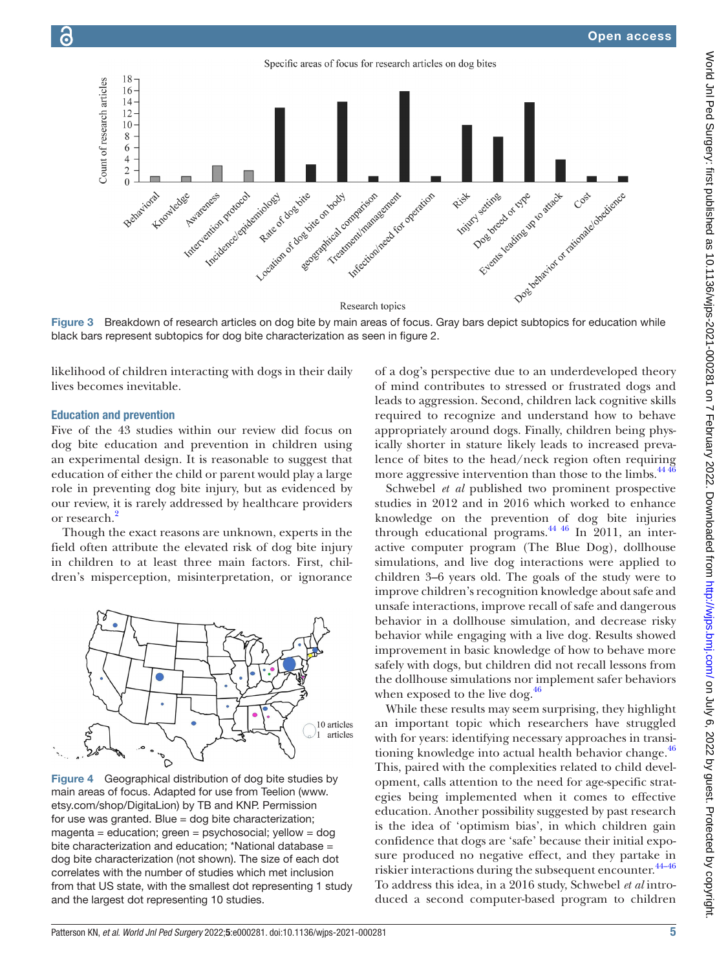

<span id="page-4-0"></span>black bars represent subtopics for dog bite characterization as seen in [figure 2](#page-3-0).

likelihood of children interacting with dogs in their daily lives becomes inevitable.

### Education and prevention

Five of the 43 studies within our review did focus on dog bite education and prevention in children using an experimental design. It is reasonable to suggest that education of either the child or parent would play a large role in preventing dog bite injury, but as evidenced by our review, it is rarely addressed by healthcare providers or research.<sup>[2](#page-6-2)</sup>

Though the exact reasons are unknown, experts in the field often attribute the elevated risk of dog bite injury in children to at least three main factors. First, children's misperception, misinterpretation, or ignorance



<span id="page-4-1"></span>Figure 4 Geographical distribution of dog bite studies by main areas of focus. Adapted for use from Teelion ([www.](www.etsy.com/shop/DigitaLion) [etsy.com/shop/DigitaLion\)](www.etsy.com/shop/DigitaLion) by TB and KNP. Permission for use was granted. Blue = dog bite characterization;  $magenta = education$ ; green = psychosocial; yellow = dog bite characterization and education; \*National database = dog bite characterization (not shown). The size of each dot correlates with the number of studies which met inclusion from that US state, with the smallest dot representing 1 study and the largest dot representing 10 studies.

of a dog's perspective due to an underdeveloped theory of mind contributes to stressed or frustrated dogs and leads to aggression. Second, children lack cognitive skills required to recognize and understand how to behave appropriately around dogs. Finally, children being physically shorter in stature likely leads to increased prevalence of bites to the head/neck region often requiring more aggressive intervention than those to the limbs.<sup>[44 46](#page-7-6)</sup>

Schwebel *et al* published two prominent prospective studies in 2012 and in 2016 which worked to enhance knowledge on the prevention of dog bite injuries through educational programs. $44 \frac{46}{1}$  In 2011, an interactive computer program (The Blue Dog), dollhouse simulations, and live dog interactions were applied to children 3–6 years old. The goals of the study were to improve children's recognition knowledge about safe and unsafe interactions, improve recall of safe and dangerous behavior in a dollhouse simulation, and decrease risky behavior while engaging with a live dog. Results showed improvement in basic knowledge of how to behave more safely with dogs, but children did not recall lessons from the dollhouse simulations nor implement safer behaviors when exposed to the live dog. $46$ 

While these results may seem surprising, they highlight an important topic which researchers have struggled with for years: identifying necessary approaches in transi-tioning knowledge into actual health behavior change.<sup>[46](#page-7-7)</sup> This, paired with the complexities related to child development, calls attention to the need for age-specific strategies being implemented when it comes to effective education. Another possibility suggested by past research is the idea of 'optimism bias', in which children gain confidence that dogs are 'safe' because their initial exposure produced no negative effect, and they partake in riskier interactions during the subsequent encounter.<sup>[44–46](#page-7-6)</sup> To address this idea, in a 2016 study, Schwebel *et al* introduced a second computer-based program to children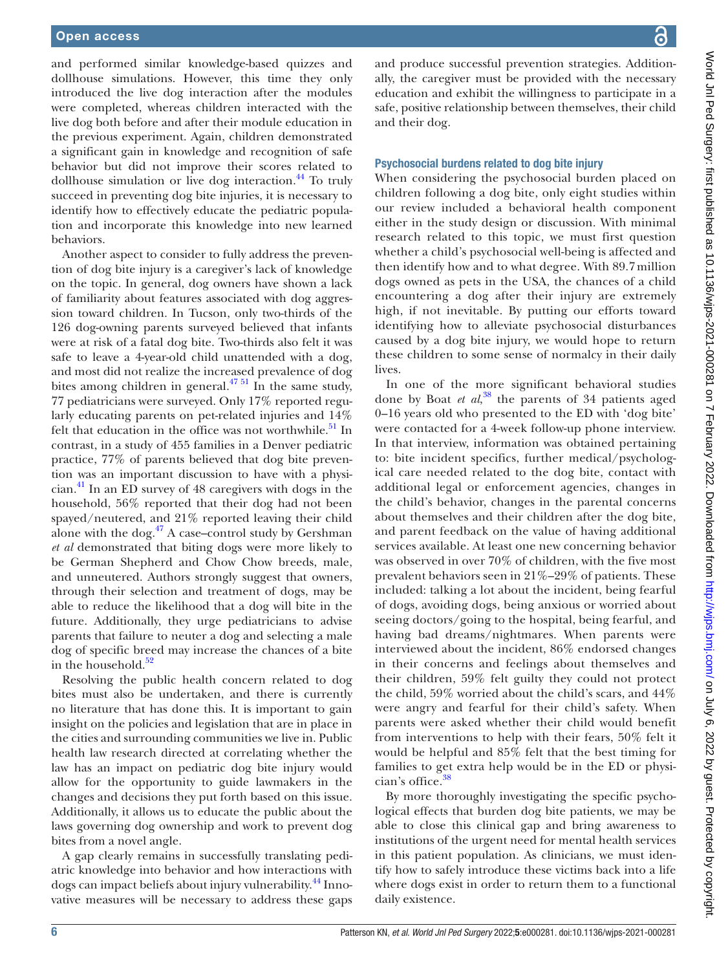and performed similar knowledge-based quizzes and dollhouse simulations. However, this time they only introduced the live dog interaction after the modules were completed, whereas children interacted with the live dog both before and after their module education in the previous experiment. Again, children demonstrated a significant gain in knowledge and recognition of safe behavior but did not improve their scores related to dollhouse simulation or live dog interaction. $^{44}$  $^{44}$  $^{44}$  To truly succeed in preventing dog bite injuries, it is necessary to identify how to effectively educate the pediatric population and incorporate this knowledge into new learned behaviors.

Another aspect to consider to fully address the prevention of dog bite injury is a caregiver's lack of knowledge on the topic. In general, dog owners have shown a lack of familiarity about features associated with dog aggression toward children. In Tucson, only two-thirds of the 126 dog-owning parents surveyed believed that infants were at risk of a fatal dog bite. Two-thirds also felt it was safe to leave a 4-year-old child unattended with a dog, and most did not realize the increased prevalence of dog bites among children in general.<sup>47 51</sup> In the same study, 77 pediatricians were surveyed. Only 17% reported regularly educating parents on pet-related injuries and 14% felt that education in the office was not worthwhile. $51$  In contrast, in a study of 455 families in a Denver pediatric practice, 77% of parents believed that dog bite prevention was an important discussion to have with a physician.[41](#page-7-10) In an ED survey of 48 caregivers with dogs in the household, 56% reported that their dog had not been spayed/neutered, and 21% reported leaving their child alone with the dog. $^{47}$  A case–control study by Gershman *et al* demonstrated that biting dogs were more likely to be German Shepherd and Chow Chow breeds, male, and unneutered. Authors strongly suggest that owners, through their selection and treatment of dogs, may be able to reduce the likelihood that a dog will bite in the future. Additionally, they urge pediatricians to advise parents that failure to neuter a dog and selecting a male dog of specific breed may increase the chances of a bite in the household. $52$ 

Resolving the public health concern related to dog bites must also be undertaken, and there is currently no literature that has done this. It is important to gain insight on the policies and legislation that are in place in the cities and surrounding communities we live in. Public health law research directed at correlating whether the law has an impact on pediatric dog bite injury would allow for the opportunity to guide lawmakers in the changes and decisions they put forth based on this issue. Additionally, it allows us to educate the public about the laws governing dog ownership and work to prevent dog bites from a novel angle.

A gap clearly remains in successfully translating pediatric knowledge into behavior and how interactions with dogs can impact beliefs about injury vulnerability.<sup>44</sup> Innovative measures will be necessary to address these gaps

and produce successful prevention strategies. Additionally, the caregiver must be provided with the necessary education and exhibit the willingness to participate in a safe, positive relationship between themselves, their child and their dog.

#### Psychosocial burdens related to dog bite injury

When considering the psychosocial burden placed on children following a dog bite, only eight studies within our review included a behavioral health component either in the study design or discussion. With minimal research related to this topic, we must first question whether a child's psychosocial well-being is affected and then identify how and to what degree. With 89.7 million dogs owned as pets in the USA, the chances of a child encountering a dog after their injury are extremely high, if not inevitable. By putting our efforts toward identifying how to alleviate psychosocial disturbances caused by a dog bite injury, we would hope to return these children to some sense of normalcy in their daily lives.

In one of the more significant behavioral studies done by Boat *et al*, [38](#page-7-12) the parents of 34 patients aged 0–16 years old who presented to the ED with 'dog bite' were contacted for a 4-week follow-up phone interview. In that interview, information was obtained pertaining to: bite incident specifics, further medical/psychological care needed related to the dog bite, contact with additional legal or enforcement agencies, changes in the child's behavior, changes in the parental concerns about themselves and their children after the dog bite, and parent feedback on the value of having additional services available. At least one new concerning behavior was observed in over 70% of children, with the five most prevalent behaviors seen in 21%–29% of patients. These included: talking a lot about the incident, being fearful of dogs, avoiding dogs, being anxious or worried about seeing doctors/going to the hospital, being fearful, and having bad dreams/nightmares. When parents were interviewed about the incident, 86% endorsed changes in their concerns and feelings about themselves and their children, 59% felt guilty they could not protect the child, 59% worried about the child's scars, and 44% were angry and fearful for their child's safety. When parents were asked whether their child would benefit from interventions to help with their fears, 50% felt it would be helpful and 85% felt that the best timing for families to get extra help would be in the ED or physi-cian's office.<sup>[38](#page-7-12)</sup>

By more thoroughly investigating the specific psychological effects that burden dog bite patients, we may be able to close this clinical gap and bring awareness to institutions of the urgent need for mental health services in this patient population. As clinicians, we must identify how to safely introduce these victims back into a life where dogs exist in order to return them to a functional daily existence.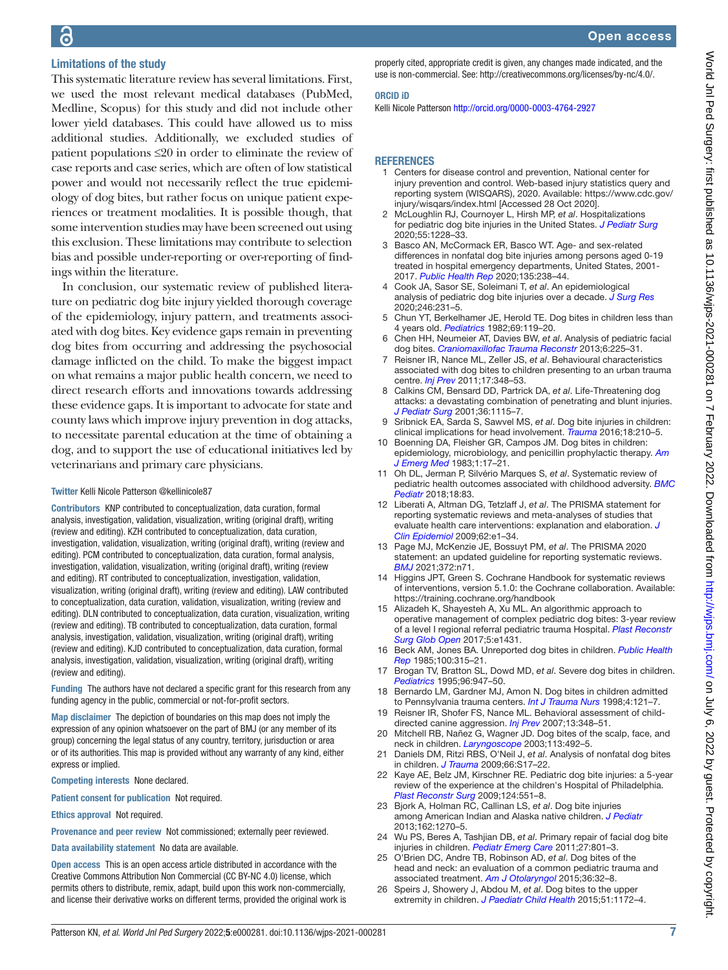# Limitations of the study

This systematic literature review has several limitations. First, we used the most relevant medical databases (PubMed, Medline, Scopus) for this study and did not include other lower yield databases. This could have allowed us to miss additional studies. Additionally, we excluded studies of patient populations ≤20 in order to eliminate the review of case reports and case series, which are often of low statistical power and would not necessarily reflect the true epidemiology of dog bites, but rather focus on unique patient experiences or treatment modalities. It is possible though, that some intervention studies may have been screened out using this exclusion. These limitations may contribute to selection bias and possible under-reporting or over-reporting of findings within the literature.

In conclusion, our systematic review of published literature on pediatric dog bite injury yielded thorough coverage of the epidemiology, injury pattern, and treatments associated with dog bites. Key evidence gaps remain in preventing dog bites from occurring and addressing the psychosocial damage inflicted on the child. To make the biggest impact on what remains a major public health concern, we need to direct research efforts and innovations towards addressing these evidence gaps. It is important to advocate for state and county laws which improve injury prevention in dog attacks, to necessitate parental education at the time of obtaining a dog, and to support the use of educational initiatives led by veterinarians and primary care physicians.

#### Twitter Kelli Nicole Patterson [@kellinicole87](https://twitter.com/kellinicole87)

Contributors KNP contributed to conceptualization, data curation, formal analysis, investigation, validation, visualization, writing (original draft), writing (review and editing). KZH contributed to conceptualization, data curation, investigation, validation, visualization, writing (original draft), writing (review and editing). PCM contributed to conceptualization, data curation, formal analysis, investigation, validation, visualization, writing (original draft), writing (review and editing). RT contributed to conceptualization, investigation, validation, visualization, writing (original draft), writing (review and editing). LAW contributed to conceptualization, data curation, validation, visualization, writing (review and editing). DLN contributed to conceptualization, data curation, visualization, writing (review and editing). TB contributed to conceptualization, data curation, formal analysis, investigation, validation, visualization, writing (original draft), writing (review and editing). KJD contributed to conceptualization, data curation, formal analysis, investigation, validation, visualization, writing (original draft), writing (review and editing).

Funding The authors have not declared a specific grant for this research from any funding agency in the public, commercial or not-for-profit sectors.

Map disclaimer The depiction of boundaries on this map does not imply the expression of any opinion whatsoever on the part of BMJ (or any member of its group) concerning the legal status of any country, territory, jurisduction or area or of its authorities. This map is provided without any warranty of any kind, either express or implied.

Competing interests None declared.

Patient consent for publication Not required.

Ethics approval Not required.

Provenance and peer review Not commissioned; externally peer reviewed.

Data availability statement No data are available.

Open access This is an open access article distributed in accordance with the Creative Commons Attribution Non Commercial (CC BY-NC 4.0) license, which permits others to distribute, remix, adapt, build upon this work non-commercially, and license their derivative works on different terms, provided the original work is properly cited, appropriate credit is given, any changes made indicated, and the use is non-commercial. See: <http://creativecommons.org/licenses/by-nc/4.0/>.

#### ORCID iD

Kelli Nicole Patterson<http://orcid.org/0000-0003-4764-2927>

#### <span id="page-6-0"></span>**REFERENCES**

- 1 Centers for disease control and prevention, National center for injury prevention and control. Web-based injury statistics query and reporting system (WISQARS), 2020. Available: [https://www.cdc.gov/](https://www.cdc.gov/injury/wisqars/index.html) [injury/wisqars/index.html](https://www.cdc.gov/injury/wisqars/index.html) [Accessed 28 Oct 2020].
- <span id="page-6-2"></span>2 McLoughlin RJ, Cournoyer L, Hirsh MP, *et al*. Hospitalizations for pediatric dog bite injuries in the United States. *[J Pediatr Surg](http://dx.doi.org/10.1016/j.jpedsurg.2019.06.025)* 2020;55:1228–33.
- <span id="page-6-8"></span>3 Basco AN, McCormack ER, Basco WT. Age- and sex-related differences in nonfatal dog bite injuries among persons aged 0-19 treated in hospital emergency departments, United States, 2001- 2017. *[Public Health Rep](http://dx.doi.org/10.1177/0033354920904072)* 2020;135:238–44.
- <span id="page-6-1"></span>4 Cook JA, Sasor SE, Soleimani T, *et al*. An epidemiological analysis of pediatric dog bite injuries over a decade. *[J Surg Res](http://dx.doi.org/10.1016/j.jss.2019.09.013)* 2020;246:231–5.
- <span id="page-6-10"></span>5 Chun YT, Berkelhamer JE, Herold TE. Dog bites in children less than 4 years old. *[Pediatrics](http://www.ncbi.nlm.nih.gov/pubmed/7054748)* 1982;69:119–20.
- <span id="page-6-11"></span>6 Chen HH, Neumeier AT, Davies BW, *et al*. Analysis of pediatric facial dog bites. *[Craniomaxillofac Trauma Reconstr](http://dx.doi.org/10.1055/s-0033-1349211)* 2013;6:225–31.
- <span id="page-6-3"></span>7 Reisner IR, Nance ML, Zeller JS, *et al*. Behavioural characteristics associated with dog bites to children presenting to an urban trauma centre. *[Inj Prev](http://dx.doi.org/10.1136/ip.2010.029868)* 2011;17:348–53.
- 8 Calkins CM, Bensard DD, Partrick DA, *et al*. Life-Threatening dog attacks: a devastating combination of penetrating and blunt injuries. *[J Pediatr Surg](http://dx.doi.org/10.1053/jpsu.2001.25670)* 2001;36:1115–7.
- <span id="page-6-12"></span>9 Sribnick EA, Sarda S, Sawvel MS, *et al*. Dog bite injuries in children: clinical implications for head involvement. *[Trauma](http://dx.doi.org/10.1177/1460408616631772)* 2016;18:210–5.
- <span id="page-6-7"></span>10 Boenning DA, Fleisher GR, Campos JM. Dog bites in children: epidemiology, microbiology, and penicillin prophylactic therapy. *[Am](http://dx.doi.org/10.1016/0735-6757(83)90032-3)  [J Emerg Med](http://dx.doi.org/10.1016/0735-6757(83)90032-3)* 1983;1:17–21.
- <span id="page-6-4"></span>11 Oh DL, Jerman P, Silvério Marques S, *et al*. Systematic review of pediatric health outcomes associated with childhood adversity. *[BMC](http://dx.doi.org/10.1186/s12887-018-1037-7)  [Pediatr](http://dx.doi.org/10.1186/s12887-018-1037-7)* 2018;18:83.
- <span id="page-6-5"></span>12 Liberati A, Altman DG, Tetzlaff J, *et al*. The PRISMA statement for reporting systematic reviews and meta-analyses of studies that evaluate health care interventions: explanation and elaboration. *[J](http://dx.doi.org/10.1016/j.jclinepi.2009.06.006)  [Clin Epidemiol](http://dx.doi.org/10.1016/j.jclinepi.2009.06.006)* 2009;62:e1–34.
- <span id="page-6-13"></span>13 Page MJ, McKenzie JE, Bossuyt PM, *et al*. The PRISMA 2020 statement: an updated guideline for reporting systematic reviews. *[BMJ](http://dx.doi.org/10.1136/bmj.n71)* 2021;372:n71.
- <span id="page-6-6"></span>14 Higgins JPT, Green S. Cochrane Handbook for systematic reviews of interventions, version 5.1.0: the Cochrane collaboration. Available: <https://training.cochrane.org/handbook>
- 15 Alizadeh K, Shayesteh A, Xu ML. An algorithmic approach to operative management of complex pediatric dog bites: 3-year review of a level I regional referral pediatric trauma Hospital. *[Plast Reconstr](http://dx.doi.org/10.1097/GOX.0000000000001431)  [Surg Glob Open](http://dx.doi.org/10.1097/GOX.0000000000001431)* 2017;5:e1431.
- 16 Beck AM, Jones BA. Unreported dog bites in children. *[Public Health](http://www.ncbi.nlm.nih.gov/pubmed/3923540)  [Rep](http://www.ncbi.nlm.nih.gov/pubmed/3923540)* 1985;100:315–21.
- <span id="page-6-14"></span>17 Brogan TV, Bratton SL, Dowd MD, *et al*. Severe dog bites in children. *[Pediatrics](http://www.ncbi.nlm.nih.gov/pubmed/7478841)* 1995;96:947–50.
- 18 Bernardo LM, Gardner MJ, Amon N. Dog bites in children admitted to Pennsylvania trauma centers. *[Int J Trauma Nurs](http://dx.doi.org/10.1016/S1075-4210(98)90001-3)* 1998;4:121–7.
- 19 Reisner IR, Shofer FS, Nance ML. Behavioral assessment of childdirected canine aggression. *[Inj Prev](http://dx.doi.org/10.1136/ip.2007.015396)* 2007;13:348–51.
- 20 Mitchell RB, Nañez G, Wagner JD. Dog bites of the scalp, face, and neck in children. *[Laryngoscope](http://dx.doi.org/10.1097/00005537-200303000-00018)* 2003;113:492–5.
- <span id="page-6-9"></span>21 Daniels DM, Ritzi RBS, O'Neil J, *et al*. Analysis of nonfatal dog bites in children. *[J Trauma](http://dx.doi.org/10.1097/TA.0b013e3181937925)* 2009;66:S17–22.
- 22 Kaye AE, Belz JM, Kirschner RE. Pediatric dog bite injuries: a 5-year review of the experience at the children's Hospital of Philadelphia. *[Plast Reconstr Surg](http://dx.doi.org/10.1097/PRS.0b013e3181addad9)* 2009;124:551–8.
- 23 Bjork A, Holman RC, Callinan LS, *et al*. Dog bite injuries among American Indian and Alaska native children. *[J Pediatr](http://dx.doi.org/10.1016/j.jpeds.2012.11.087)* 2013;162:1270–5.
- 24 Wu PS, Beres A, Tashjian DB, *et al*. Primary repair of facial dog bite injuries in children. *[Pediatr Emerg Care](http://dx.doi.org/10.1097/PEC.0b013e31822c1112)* 2011;27:801–3.
- 25 O'Brien DC, Andre TB, Robinson AD, *et al*. Dog bites of the head and neck: an evaluation of a common pediatric trauma and associated treatment. *[Am J Otolaryngol](http://dx.doi.org/10.1016/j.amjoto.2014.09.001)* 2015;36:32–8.
- 26 Speirs J, Showery J, Abdou M, *et al*. Dog bites to the upper extremity in children. *[J Paediatr Child Health](http://dx.doi.org/10.1111/jpc.12948)* 2015;51:1172–4.